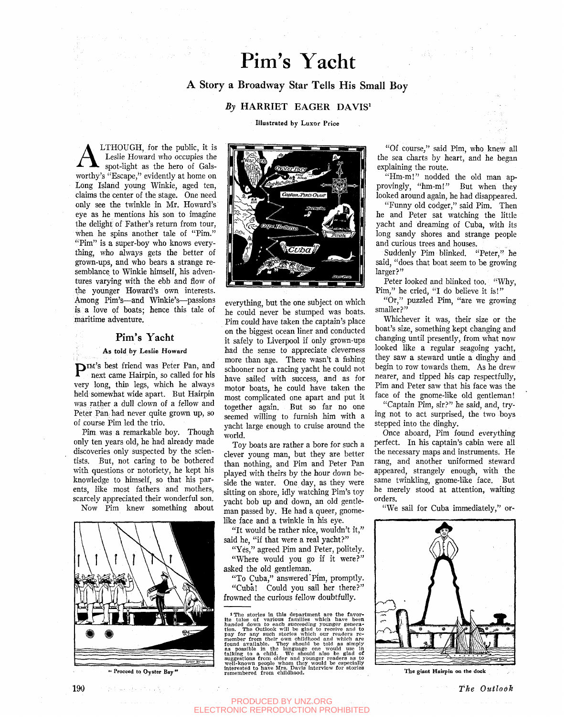# Pim's Yacht

## A Story a Broadway Star Tells His Small Boy

## *By* HARRIET EAGER DAVIS'

**Illustrated** by Luxor Price

**A** LTHOUGH, for the public, it is<br>Leslie Howard who occupies the<br>spot-light as the hero of Gals-<br>worthy's "Escape," evidently at home on LTHOUGH, for the public, it is Leslie Howard who occupies the spot-light as the hero of Gals-Long Island young Winkie, aged ten, claims the center of the stage. One need only see the twinkle in Mr. Howard's eye as he mentions his son to imagine the delight of Father's return from tour, when he spins another tale of "Pim." "Pim" is a super-boy who knows everything, who always gets the better of grown-ups, and who bears a strange resemblance to Winkie himself, his adventures varying with the ebb and flow of the younger Howard's own interests. Among Pim's—and Winkie's—passions is a love of boats; hence this tale of maritime adventure.

## Pim's Yacht

### **As told by Leslie Howard**

P IM'S best friend was Peter Pan, and next came Hairpin, so called for his very long, thin legs, which he always held somewhat wide apart. But Hairpin was rather a dull clown of a fellow and Peter Pan: had never quite grown up, so of course Pim led the trio.

Pim was a remarkable boy. Though only ten years old, he had already made discoveries only suspected by the scientists. But, not caring to be bothered with questions or notoriety, he kept his knowledge to himself, so that his parents, like most fathers and mothers, scarcely appreciated their wonderful son. Now Pim knew something about



" Proceed to Oyster Bay"



everything, but the one subject on which he could never be stumped was boats. Pim could have taken the captain's place on the biggest ocean liner and conducted it safely to Liverpool if only grown-ups had the sense to appreciate cleverness more than age. There wasn't a fishing schooner nor a racing yacht he could not have sailed with success, and as for motor boats, he could have taken the most complicated one apart and put it together again. But so far no one seemed willing to furnish him with a yacht large enough to cruise around the world.

Toy boats are rather a bore for such a clever young man, but they are better than nothing, and Pim and Peter Pan played with theirs by the hour down beside the water. One day, as they were sitting on shore, idly watching Pim's toy yacht bob up and down, an old gentleman passed by. He had a queer, gnomelike face and a twinkle in his eye.

"It would be rather nice, wouldn't it," said he, "if that were a real yacht?"

"Yes," agreed Pim and Peter, politely.

"Where would you go if it were?" asked the old gentleman.

"To Cuba," answered'Pim, promptly. "Cuba! Could you sail her there?"

frowned the curious fellow doubtfully.

1 The stories in this department are the favor-<br>the tales of various families which have been<br>handed down to each succeeding younger genera-<br>tion. The Outlook will be glad to receive and to<br>pay for any such stories which

"Of course," said Pim, who knew all the sea charts by heart, and he began explaining the route.

"Hm-m!" nodded the old man approvingly, "hm-m!" But when they looked around again, he had disappeared.

"Funny old codger," said Pim. Then he and Peter sat watching the little yacht and dreaming of Cuba, with its long sandy shores and strange people and curious trees and houses.

Suddenly Pim blinked. "Peter," he said, "does that boat seem to be growing larger?"

Peter looked and blinked too. "Why, Pim," he cried, "I do believe it is!"

"Or," puzzled Pim, "are we growing smaller?"

Whichever it was, their size or the boat's size, something kept changing and changing until presently, from what now looked like a regular seagoing yacht, they saw a steward untie a dinghy and begin to row towards them. As he drew nearer, and tipped his cap respectfully, Pim and Peter saw that his face was the face of the gnome-like old gentleman! "Captain Pim, sir?" he said, and, try-

ing not to act surprised, the two boys stepped into the dinghy.

Once aboard, Pim found everything perfect. In his captain's cabin were all the necessary maps and instruments. He rang, and another uniformed steward appeared, strangely enough, with the same twinkling, gnome-like face. But he merely stood at attention, waiting orders.

"We sail for Cuba immediately," or-



The giant Hairpin on the dock

PRODUCED BY UNZ.ORG ELECTRONIC REPRODUCTION PROHIBITED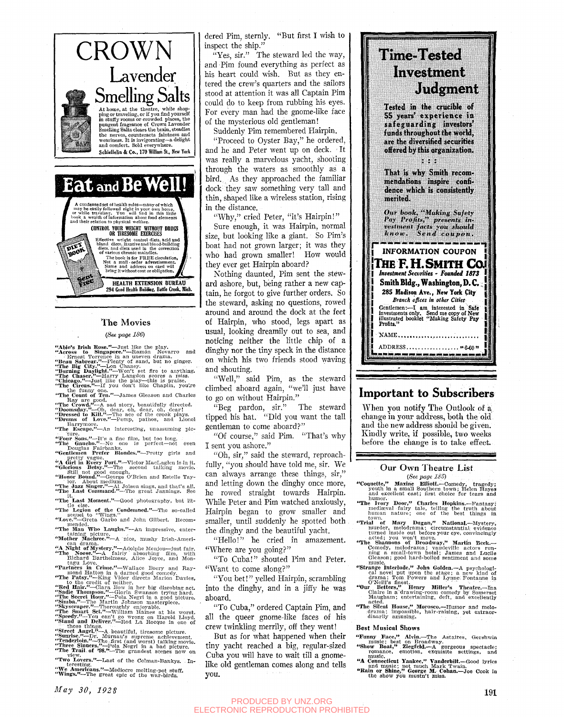

## **The Movies**

**HEALTH EXTENSION BUREAU** 294 Good Health Building, Battle Creek, Mich.

#### *(See page 186)*

▓

"Abie's Irish Rose."—Just like the play.<br>"Across to Singapore."—Ramón Novarro and<br>"Brans Termes Town and Propertion of Partial<br>"Heau Sabreur."—Plenty of sand, but no ginger.<br>"The Big City."—Lon Chaney.<br>"He Chicago."—Itarr

the funny one.<br>"The Count of Ten."—James Gleason and Charles

Ray are good.<br>
"The Crowd."—A sad story, beautifully directed.<br>
"Doomsday."—Oh, dear, oh, dear, oh, dear!<br>
"Dressed to Kill."—The ace of the crook plays.<br>
"Drums of Love."—Pomp, pathos, and Lionel

"The Escape."—An interesting, unassuming pic-

The Escape. —An interesting, unassuming pic-<br>
"Tour Sons."—It's a fine film, but too long.<br>
"Douglas Fairbanks.<br>"Gentlemen Prefer Blondes,"—Pretty girls and<br>
"Gentlemen Prefer Blondes,"—Pretty girls and

\*\*\*Lie Gauclion."<br>"A Girl in Every Port."—Victor MacLaglen is in it.<br>"Glorious Betsy."—The second talking movie.<br>"Honor Bound."—George O'Brien and Estelle Tay-<br>"Honor Bound."—George O'Brien and Estelle Tay-

'' lor. About medum.<br>"The Jazz Singer."—Al Jolson sings, and that's all.<br>"The Last Command."—The great Jannings. See

it.<br>"The Last Moment."-Good photography, but lit-

Increase months. "—Good photography, but his lite else.<br>
"The Lagion of the Condemned."—The so-called<br>
"Love."—Greta Garbo and John Gilbert. Recom-<br>
memded.

"The Man Who Laughs."—An impressive, enter-<br>taining picture.

taining picture.<br>"Mother Machree."—A nice, mushy Irish-Ameri-

end drama.<br>
"The Man Who Laughs."<br>
"The Motose."—A dolphe Menjou-just fair.<br>
"The Motose."—A fairly absorbing film, with<br>
Richard Barthelmess. Alice Jovee, and Mon-

reading and members, and mon-<br>
range Love.<br>
"Tarking Video" and Ray-<br>
"Parking Video" and Ray-<br>
"The Patsy."—King Vidor directs Marion Davies,<br>
"Red Hair."—Clara Bow in her big disrobing act.<br>
"Red Hair."—Clara Bow in her

"We Americans."—Mediocre melting-pot stufe.

dered Pim, sternly. "But first I wish to inspect the ship."

"Yes, sir." The steward led the way, and Pim found everything as perfect as his heart could wish. But as they entered the crew's quarters and the sailors stood at attention it was all Captain Pim could do to keep from rubbing his eyes. For every man had the gnome-like face of the mysterious old gentleman!

Suddenly Pim remembered Hairpin.

"Proceed to Oyster Bay," he ordered, and he and Peter went up on deck. It was really a marvelous yacht, shooting through the waters as smoothly as a bird.. As they approached the familiar dock they saw something very tall and thin, shaped like a wireless station, rising in the distance.

"Why," cried Peter, "it's Hairpin!"

Sure enough, it was Hairpin, normal size, but looking like a giant. So Pim's boat had not grown larger; it was they who had grown smaller! How would they ever get Hairpin aboard?

Nothing daunted, Pim sent the steward ashore, but, being rather a new captain, he forgot to give further orders. So the steward, asking no questions, rowed around and around the dock at the feet of Hairpin, who stood, legs apart as usual, looking dreamily out to sea, and noticing neither the little chip of a dinghy nor the tiny speck in the distance on which his two friends stood waving and shouting.

"Well," said Pim, as the steward climbed aboard again, "we'll just have to go on without Hairpin."

"Beg pardon, sir." The steward tipped his hat. "Did you want the tall gentleman to come aboard?"

"Of course," said Pim. "That's why I sent you ashore."

"Oh, sir," said the steward, reproachfully, "you should have told me, sir. We can always arrange these things, sir," and letting down the dinghy once more, he rowed straight towards Hairpin. While Peter and Pim watched anxiously. Hairpin began to grow smaller and smaller, until suddenly he spotted both the dinghy and the beautiful yacht.

"Hello!" he cried in amazement. "Where are you going?"

"To Cuba!" shouted Pim and Peter. "Want to come along?"

"You bet!" yelled Hairpin, scrambling into the dinghy, and in a jiffy he was aboard.

"To Cuba," ordered Captain Pim, and all the queer gnome-like faces of his crew twinkling merrily, off they went!

But as for what happened when their tiny yacht reached a big, regular-sized Cuba you will have to wait till a gnomelike old gentleman comes along and tells you.



**Tested in the crucible of 55 years' experience ia safeguarding investors'**  funds throughout the world, **are the diversified securities offered by this organization.**  

**That is why Smith recom< mendations inspire confidence which is consistently merited.** 

*Our book^ "Making Safely Pay Prafiu,^^ presenlts invustnwHt facts yt>u stututd know. Send coupon,* 

**INFORMATION COUPON ITHE EH. SMITH Caii**  *Investment Securities - Founded 1873* **I Smith BIdg., Washington, D.C I 285 Madison Ave., New York City**  I *Branch ofices in other Cities*  I Gentlemen:—I am interested in Safe illustrated booklet "Making Safety Pay Profits." **I** NAME...... **I i** ADDRESS..., "MO " :'ffl!^S.MWy..W!'/!'W'f-.gw^WW..I!l!B<WjllgilJim-^

# Important to Subscribers

When you notify The Outlook of a change in your address, both the old and the new address should be given. Kindly write, if possible, two weeks before the change is to take effect.

### Our Own Theatre List *(See page 186)*

- "CoQuette," Marine Elliott.—Comedy, tragedy; youth in a small Southern town; Helen Hayes and excellent cast; first choice for tears and
- humor.<br>
"The Ivory Door," Charles Hopkins.—Fantasy;<br>
mediaeval fairy tale, telling the truth about<br>
human nature; one of the best things in
- 
- town.<br>
"Trial of Mary Dugan," National.--Mystery,<br>
murder, melodrama; circumstantial evidence<br>
turned inside out before your eye, convincingly<br>
acted; you won't move.<br>
"The Shannons of Broadway," Martin Beck.--<br>
Comedy, me
- music. "Strange Interlude," John Golden.—A psychologi-
- cal novel put upon the stage; a new kind of drama; Tom Powers and Lynne Fontanne in O'Neill's finest.<br>
O'Neill's finest.<br>
Claire in a drawing-room comedy by Somerset.<br>
Claire in a drawing-room comedy by Somerset Calculatio
- acted. **"The Silent House," Morosco.**—Humor and melo-<br>drama; impossible, hair-raising, yet extraor-<br>dinarily amusing.

#### Best Musical Shows

- "Funny Face, " Alvin.—The Astaires, Gershwin music; best on Broadway. "Show Boat," , Ziegf**eld.**—A gorgeous spectacle; romance, emotion, exquisite settings, and
- 
- music. "A Connecticut yankee, " Vanderbilt.—Good lyrics and music; not much Mark Twain. "Eain or Shine/' George M.: Cohan.—Joe Cook in the show you mustn't miss.